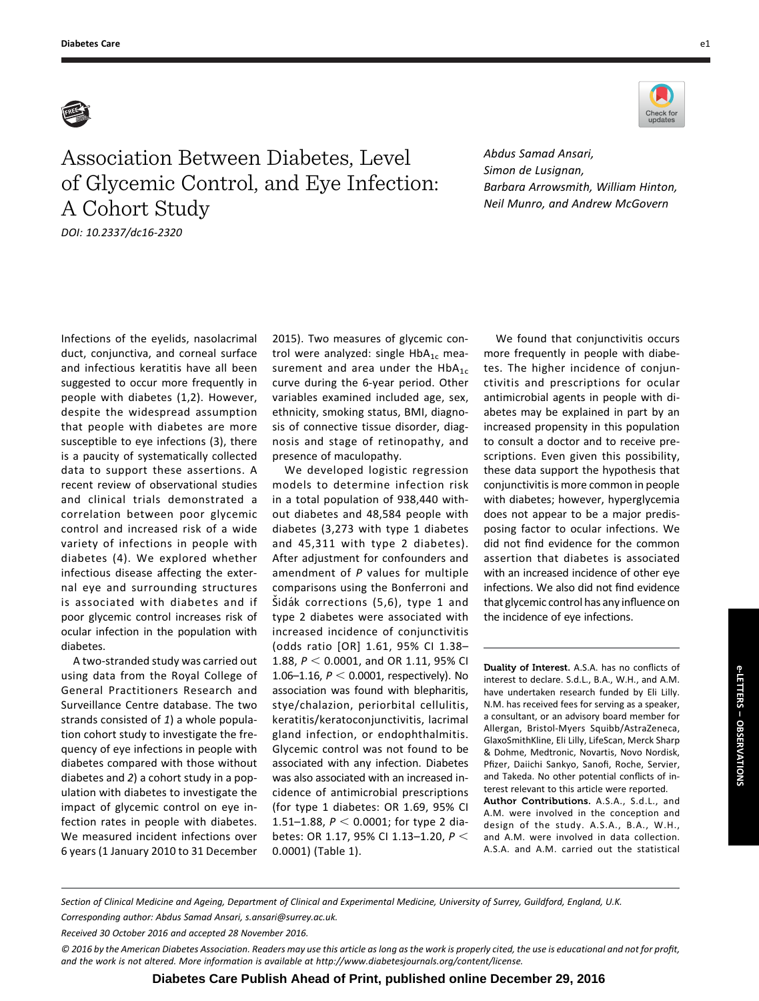

## Association Between Diabetes, Level of Glycemic Control, and Eye Infection: A Cohort Study DOI: 10.2337/dc16-2320

Abdus Samad Ansari, Simon de Lusignan, Barbara Arrowsmith, William Hinton, Neil Munro, and Andrew McGovern

Infections of the eyelids, nasolacrimal duct, conjunctiva, and corneal surface and infectious keratitis have all been suggested to occur more frequently in people with diabetes (1,2). However, despite the widespread assumption that people with diabetes are more susceptible to eye infections (3), there is a paucity of systematically collected data to support these assertions. A recent review of observational studies and clinical trials demonstrated a correlation between poor glycemic control and increased risk of a wide variety of infections in people with diabetes (4). We explored whether infectious disease affecting the external eye and surrounding structures is associated with diabetes and if poor glycemic control increases risk of ocular infection in the population with diabetes.

A two-stranded study was carried out using data from the Royal College of General Practitioners Research and Surveillance Centre database. The two strands consisted of 1) a whole population cohort study to investigate the frequency of eye infections in people with diabetes compared with those without diabetes and 2) a cohort study in a population with diabetes to investigate the impact of glycemic control on eye infection rates in people with diabetes. We measured incident infections over 6 years (1 January 2010 to 31 December

2015). Two measures of glycemic control were analyzed: single  $HbA_{1c}$  measurement and area under the  $HbA_{1c}$ curve during the 6-year period. Other variables examined included age, sex, ethnicity, smoking status, BMI, diagnosis of connective tissue disorder, diagnosis and stage of retinopathy, and presence of maculopathy.

We developed logistic regression models to determine infection risk in a total population of 938,440 without diabetes and 48,584 people with diabetes (3,273 with type 1 diabetes and 45,311 with type 2 diabetes). After adjustment for confounders and amendment of P values for multiple comparisons using the Bonferroni and  $\text{Sidak corrections}$  (5,6), type 1 and type 2 diabetes were associated with increased incidence of conjunctivitis (odds ratio [OR] 1.61, 95% CI 1.38– 1.88,  $P < 0.0001$ , and OR 1.11, 95% CI 1.06–1.16,  $P < 0.0001$ , respectively). No association was found with blepharitis, stye/chalazion, periorbital cellulitis, keratitis/keratoconjunctivitis, lacrimal gland infection, or endophthalmitis. Glycemic control was not found to be associated with any infection. Diabetes was also associated with an increased incidence of antimicrobial prescriptions (for type 1 diabetes: OR 1.69, 95% CI 1.51–1.88,  $P < 0.0001$ ; for type 2 diabetes: OR 1.17, 95% CI 1.13-1.20,  $P <$ 0.0001) (Table 1).

We found that conjunctivitis occurs more frequently in people with diabetes. The higher incidence of conjunctivitis and prescriptions for ocular antimicrobial agents in people with diabetes may be explained in part by an increased propensity in this population to consult a doctor and to receive prescriptions. Even given this possibility, these data support the hypothesis that conjunctivitis is more common in people with diabetes; however, hyperglycemia does not appear to be a major predisposing factor to ocular infections. We did not find evidence for the common assertion that diabetes is associated with an increased incidence of other eye infections. We also did not find evidence that glycemic control has any influence on the incidence of eye infections.

Duality of Interest. A.S.A. has no conflicts of interest to declare. S.d.L., B.A., W.H., and A.M. have undertaken research funded by Eli Lilly. N.M. has received fees for serving as a speaker, a consultant, or an advisory board member for Allergan, Bristol-Myers Squibb/AstraZeneca, GlaxoSmithKline, Eli Lilly, LifeScan, Merck Sharp & Dohme, Medtronic, Novartis, Novo Nordisk, Pfizer, Daiichi Sankyo, Sanofi, Roche, Servier, and Takeda. No other potential conflicts of interest relevant to this article were reported. Author Contributions. A.S.A., S.d.L., and A.M. were involved in the conception and design of the study. A.S.A., B.A., W.H., and A.M. were involved in data collection. A.S.A. and A.M. carried out the statistical

Section of Clinical Medicine and Ageing, Department of Clinical and Experimental Medicine, University of Surrey, Guildford, England, U.K. Corresponding author: Abdus Samad Ansari, [s.ansari@surrey.ac.uk](mailto:s.ansari@surrey.ac.uk).

Received 30 October 2016 and accepted 28 November 2016.

<sup>© 2016</sup> by the American Diabetes Association. Readers may use this article as long as the work is properly cited, the use is educational and not for profit, and the work is not altered. More information is available at [http://www.diabetesjournals.org/content/license.](http://www.diabetesjournals.org/content/license)